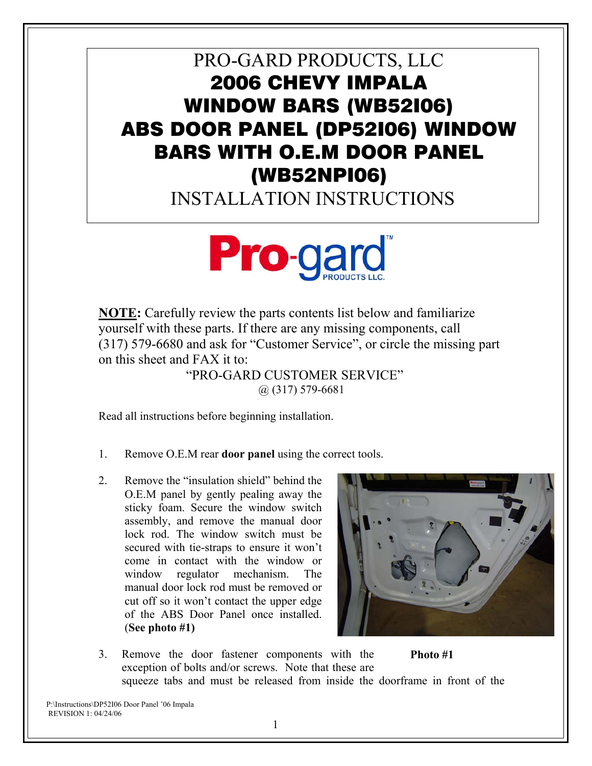## PRO-GARD PRODUCTS, LLC 2006 CHEVY IMPALA WINDOW BARS (WB52I06) ABS DOOR PANEL (DP52I06) WINDOW BARS WITH O.E.M DOOR PANEL (WB52NPI06)

INSTALLATION INSTRUCTIONS



**NOTE:** Carefully review the parts contents list below and familiarize yourself with these parts. If there are any missing components, call (317) 579-6680 and ask for "Customer Service", or circle the missing part on this sheet and FAX it to:

 "PRO-GARD CUSTOMER SERVICE" @ (317) 579-6681

Read all instructions before beginning installation.

- 1. Remove O.E.M rear **door panel** using the correct tools.
- 2. Remove the "insulation shield" behind the O.E.M panel by gently pealing away the sticky foam. Secure the window switch assembly, and remove the manual door lock rod. The window switch must be secured with tie-straps to ensure it won't come in contact with the window or window regulator mechanism. The manual door lock rod must be removed or cut off so it won't contact the upper edge of the ABS Door Panel once installed. (**See photo #1)**



3. Remove the door fastener components with the exception of bolts and/or screws. Note that these are squeeze tabs and must be released from inside the doorframe in front of the **Photo #1**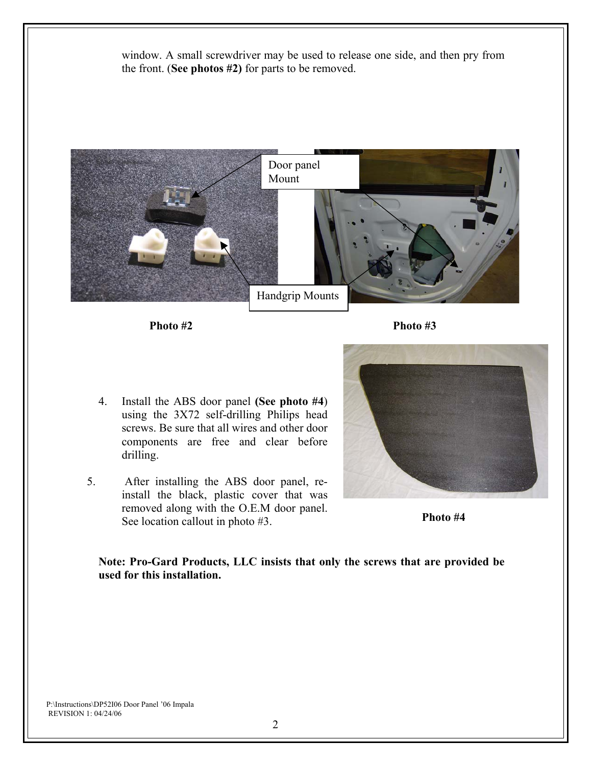window. A small screwdriver may be used to release one side, and then pry from the front. (**See photos #2)** for parts to be removed.



**Photo #2 Photo #3** 

- 4. Install the ABS door panel **(See photo #4**) using the 3X72 self-drilling Philips head screws. Be sure that all wires and other door components are free and clear before drilling.
- 5. After installing the ABS door panel, reinstall the black, plastic cover that was removed along with the O.E.M door panel. See location callout in photo #3.



**Photo #4** 

**Note: Pro-Gard Products, LLC insists that only the screws that are provided be used for this installation.**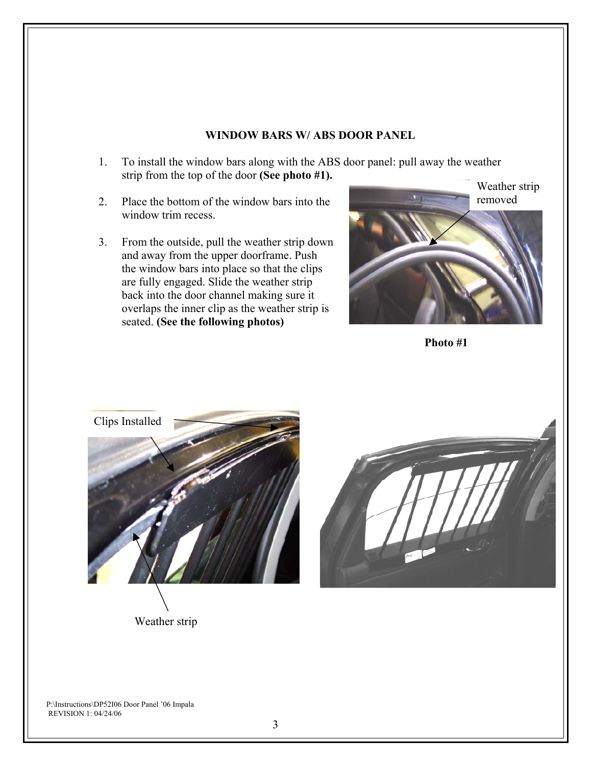## **WINDOW BARS W/ ABS DOOR PANEL**

- 1. To install the window bars along with the ABS door panel: pull away the weather strip from the top of the door **(See photo #1).**
- 2. Place the bottom of the window bars into the window trim recess.
- 3. From the outside, pull the weather strip down and away from the upper doorframe. Push the window bars into place so that the clips are fully engaged. Slide the weather strip back into the door channel making sure it overlaps the inner clip as the weather strip is seated. **(See the following photos)**



**Photo #1**



Weather strip